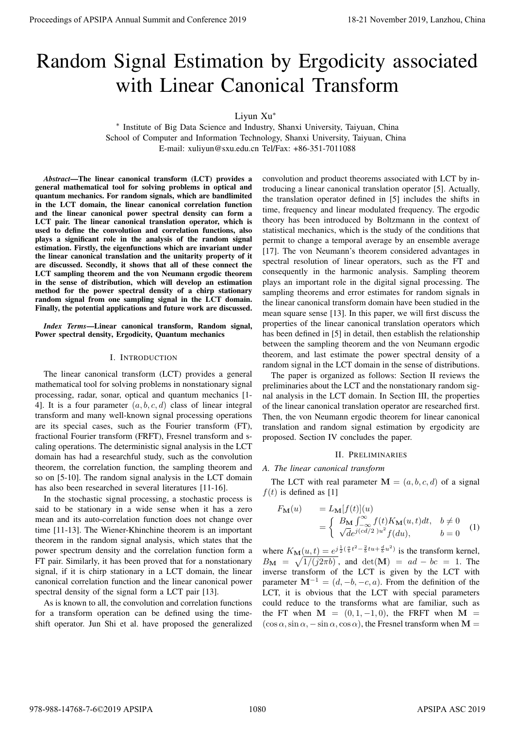# Random Signal Estimation by Ergodicity associated with Linear Canonical Transform

## Liyun Xu*<sup>∗</sup>*

*∗* Institute of Big Data Science and Industry, Shanxi University, Taiyuan, China School of Computer and Information Technology, Shanxi University, Taiyuan, China E-mail: xuliyun@sxu.edu.cn Tel/Fax: +86-351-7011088

*Abstract*—The linear canonical transform (LCT) provides a general mathematical tool for solving problems in optical and quantum mechanics. For random signals, which are bandlimited in the LCT domain, the linear canonical correlation function and the linear canonical power spectral density can form a LCT pair. The linear canonical translation operator, which is used to define the convolution and correlation functions, also plays a significant role in the analysis of the random signal estimation. Firstly, the eigenfunctions which are invariant under the linear canonical translation and the unitarity property of it are discussed. Secondly, it shows that all of these connect the LCT sampling theorem and the von Neumann ergodic theorem in the sense of distribution, which will develop an estimation method for the power spectral density of a chirp stationary random signal from one sampling signal in the LCT domain. Finally, the potential applications and future work are discussed.

*Index Terms*—Linear canonical transform, Random signal, Power spectral density, Ergodicity, Quantum mechanics

## I. INTRODUCTION

The linear canonical transform (LCT) provides a general mathematical tool for solving problems in nonstationary signal processing, radar, sonar, optical and quantum mechanics [1- 4]. It is a four parameter (*a, b, c, d*) class of linear integral transform and many well-known signal processing operations are its special cases, such as the Fourier transform (FT), fractional Fourier transform (FRFT), Fresnel transform and scaling operations. The deterministic signal analysis in the LCT domain has had a researchful study, such as the convolution theorem, the correlation function, the sampling theorem and so on [5-10]. The random signal analysis in the LCT domain has also been researched in several literatures [11-16].

In the stochastic signal processing, a stochastic process is said to be stationary in a wide sense when it has a zero mean and its auto-correlation function does not change over time [11-13]. The Wiener-Khinchine theorem is an important theorem in the random signal analysis, which states that the power spectrum density and the correlation function form a FT pair. Similarly, it has been proved that for a nonstationary signal, if it is chirp stationary in a LCT domain, the linear canonical correlation function and the linear canonical power spectral density of the signal form a LCT pair [13].

As is known to all, the convolution and correlation functions for a transform operation can be defined using the timeshift operator. Jun Shi et al. have proposed the generalized

convolution and product theorems associated with LCT by introducing a linear canonical translation operator [5]. Actually, the translation operator defined in [5] includes the shifts in time, frequency and linear modulated frequency. The ergodic theory has been introduced by Boltzmann in the context of statistical mechanics, which is the study of the conditions that permit to change a temporal average by an ensemble average [17]. The von Neumann's theorem considered advantages in spectral resolution of linear operators, such as the FT and consequently in the harmonic analysis. Sampling theorem plays an important role in the digital signal processing. The sampling theorems and error estimates for random signals in the linear canonical transform domain have been studied in the mean square sense [13]. In this paper, we will first discuss the properties of the linear canonical translation operators which has been defined in [5] in detail, then establish the relationship between the sampling theorem and the von Neumann ergodic theorem, and last estimate the power spectral density of a random signal in the LCT domain in the sense of distributions. **Proceedings of APSIPA Annual Summit at China 978-988-1899**<br> **Random Signal Estimation by Ergodicity associated**<br>
With Linear Canonical Transform contents and consequent in the system in the system of the system of the pa

The paper is organized as follows: Section II reviews the preliminaries about the LCT and the nonstationary random signal analysis in the LCT domain. In Section III, the properties of the linear canonical translation operator are researched first. Then, the von Neumann ergodic theorem for linear canonical translation and random signal estimation by ergodicity are proposed. Section IV concludes the paper.

## II. PRELIMINARIES

## *A. The linear canonical transform*

The LCT with real parameter  $M = (a, b, c, d)$  of a signal  $f(t)$  is defined as [1]

$$
F_{\mathbf{M}}(u) = L_{\mathbf{M}}[f(t)](u)
$$
  
= 
$$
\begin{cases} B_{\mathbf{M}} \int_{-\infty}^{\infty} f(t) K_{\mathbf{M}}(u, t) dt, & b \neq 0 \\ \sqrt{d} e^{j (cd/2) u^2} f(du), & b = 0 \end{cases}
$$
(1)

where  $K_{\mathbf{M}}(u, t) = e^{j\frac{1}{2}(\frac{a}{b}t^2 - \frac{2}{b}tu + \frac{d}{b}u^2)}$  is the transform kernel,  $B_{\mathbf{M}} = \sqrt{1/(j2\pi b)}$ , and  $\det(\mathbf{M}) = ad - bc = 1$ . The inverse transform of the LCT is given by the LCT with parameter  $M^{-1} = (d, -b, -c, a)$ . From the definition of the LCT, it is obvious that the LCT with special parameters could reduce to the transforms what are familiar, such as the FT when  $M = (0, 1, -1, 0)$ , the FRFT when  $M =$  $(\cos \alpha, \sin \alpha, -\sin \alpha, \cos \alpha)$ , the Fresnel transform when  $M =$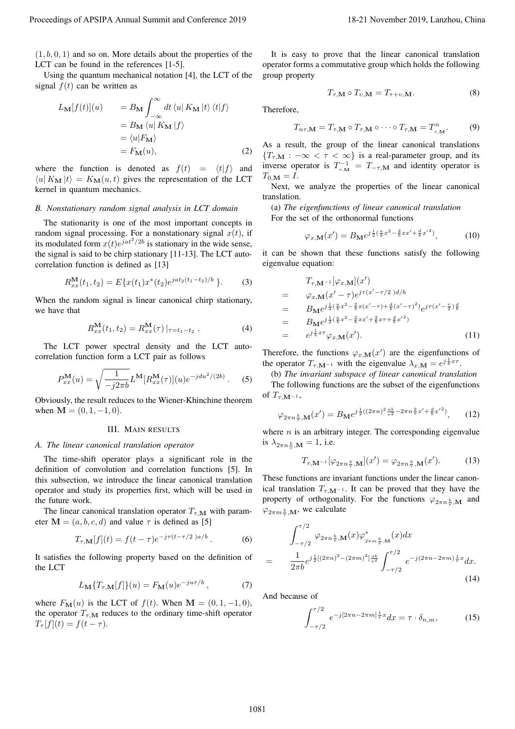$(1, b, 0, 1)$  and so on. More details about the properties of the LCT can be found in the references [1-5].

Using the quantum mechanical notation [4], the LCT of the signal  $f(t)$  can be written as

$$
L_{\mathbf{M}}[f(t)](u) = B_{\mathbf{M}} \int_{-\infty}^{\infty} dt \langle u | K_{\mathbf{M}} | t \rangle \langle t | f \rangle
$$
  
=  $B_{\mathbf{M}} \langle u | K_{\mathbf{M}} | f \rangle$   
=  $\langle u | F_{\mathbf{M}} \rangle$   
=  $F_{\mathbf{M}}(u)$ , (2)

where the function is denoted as  $f(t) = \langle t | f \rangle$  and  $\langle u | K_{\mathbf{M}} | t \rangle = K_{\mathbf{M}}(u, t)$  gives the representation of the LCT kernel in quantum mechanics.

## *B. Nonstationary random signal analysis in LCT domain*

The stationarity is one of the most important concepts in random signal processing. For a nonstationary signal *x*(*t*), if its modulated form  $x(t)e^{j\alpha t^2/2b}$  is stationary in the wide sense, the signal is said to be chirp stationary [11-13]. The LCT autocorrelation function is defined as [13]

$$
R_{xx}^{\mathbf{M}}(t_1, t_2) = E\{x(t_1)x^*(t_2)e^{jat_2(t_1 - t_2)/b}\}.
$$
 (3)

When the random signal is linear canonical chirp stationary, we have that

$$
R_{xx}^{\mathbf{M}}(t_1, t_2) = R_{xx}^{\mathbf{M}}(\tau) |_{\tau = t_1 - t_2}.
$$
 (4)

The LCT power spectral density and the LCT autocorrelation function form a LCT pair as follows

$$
P_{xx}^{\mathbf{M}}(u) = \sqrt{\frac{1}{-j2\pi b}} L^{\mathbf{M}} [R_{xx}^{\mathbf{M}}(\tau)](u) e^{-jdu^2/(2b)} .
$$
 (5)

Obviously, the result reduces to the Wiener-Khinchine theorem when  $M = (0, 1, -1, 0)$ .

#### III. MAIN RESULTS

#### *A. The linear canonical translation operator*

The time-shift operator plays a significant role in the definition of convolution and correlation functions [5]. In this subsection, we introduce the linear canonical translation operator and study its properties first, which will be used in the future work.

The linear canonical translation operator  $T_{\tau,\mathbf{M}}$  with parameter  $\mathbf{M} = (a, b, c, d)$  and value  $\tau$  is defined as [5]

$$
T_{\tau,\mathbf{M}}[f](t) = f(t-\tau)e^{-j\tau(t-\tau/2)a/b}.
$$
 (6)

It satisfies the following property based on the definition of the LCT

$$
L_{\mathbf{M}}\{T_{\tau,\mathbf{M}}[f]\}(u) = F_{\mathbf{M}}(u)e^{-ju\tau/b},\tag{7}
$$

where  $F_{\mathbf{M}}(u)$  is the LCT of  $f(t)$ . When  $\mathbf{M} = (0, 1, -1, 0)$ , the operator  $T_{\tau,\mathbf{M}}$  reduces to the ordinary time-shift operator  $T_{\tau}[f](t) = f(t - \tau).$ 

It is easy to prove that the linear canonical translation operator forms a commutative group which holds the following group property

$$
T_{\tau,\mathbf{M}} \circ T_{\nu,\mathbf{M}} = T_{\tau+\nu,\mathbf{M}}.\tag{8}
$$

Therefore,

$$
T_{n\tau,\mathbf{M}} = T_{\tau,\mathbf{M}} \circ T_{\tau,\mathbf{M}} \circ \cdots \circ T_{\tau,\mathbf{M}} = T_{\tau,\mathbf{M}}^n. \tag{9}
$$

As a result, the group of the linear canonical translations  ${T}_{\tau,\mathbf{M}}$  :  $-\infty < \tau < \infty$ } is a real-parameter group, and its inverse operator is  $T_{\tau,\mathbf{M}}^{-1} = T_{-\tau,\mathbf{M}}$  and identity operator is  $T_{0,\mathbf{M}}=I.$ 

Next, we analyze the properties of the linear canonical translation.

(a) *The eigenfunctions of linear canonical translation* For the set of the orthonormal functions

$$
\varphi_{x,\mathbf{M}}(x') = B_{\mathbf{M}} e^{j\frac{1}{2}(\frac{a}{b}x^2 - \frac{2}{b}xx' + \frac{d}{b}x'^2)},\tag{10}
$$

it can be shown that these functions satisfy the following eigenvalue equation:

Proceeding of APSIPA Amawi and Confereace 2019  
\n(1, b, 0, 1) and so on. More details about the properties of the  
\nLCF can be found in the reference [1-5].  
\nUsing the quantum mechanics notation  
\nUsing the quantum mechanics notation  
\n
$$
L_M(f(t)) = D_M \int_{-\infty}^{\infty} dt \langle u | K_M(t) \rangle
$$
\n(16) The  
\n
$$
L_M(f(t)) = \int_{-\infty}^{\infty} du \langle u | K_M(t) \rangle
$$
\n(21) The  
\n
$$
L_M(f(t)) = \int_{-\infty}^{\infty} du \langle u | K_M(t) \rangle
$$
\n(3) A is a result, the group of the linear canonical transitions  
\nwhere the function is denoted as  $f(t) = -(t)H_M(t)$   
\n
$$
= k_M(t) \int_{-\infty}^{\infty} du \langle u | K_M(t) \rangle
$$
\n(4) A is a result, the group of the linear canonical functions  
\nwhere the function is denoted as  $f(t) = (0, 1)$  and inverse operators is  $T_{\tau,M} = T_{-\tau,M}$  of its  
\n
$$
L_M(f(t)) = K_M(t),
$$
\n(5) A is a real-pumatrix in the integral matrix operator  
\n
$$
= K_M(t),
$$
\n(6) A is a real-pumatrix and multiplication of the  
\n
$$
K_M(t) = K_M(t),
$$
\n(7) B is a real-pumatrix and multiplication of the  
\n
$$
L_M(t) = K_M(t),
$$
\n(8) B is a real-pumatrix and multiplication of the  
\n
$$
L_M(t) = K_M(t),
$$
\n(9) B is a constant in the vertex, we analyze the properties of the linear canonical  
\n
$$
L_M(t) = K_M(t),
$$
\n(10) B is a constant in the vertex, we may find the  
\n
$$
K_M(t) = K_M(t),
$$
\n(11) 13. The LCT and  
\n
$$
K_M(t) = K_M(t),
$$
\n(12) 
$$
K_M(t) = K_M(t),
$$
\n(13) 
$$
K_M(t) = K_M(t),
$$
\n(14) 
$$
K_M(t) = K_M(t),
$$
\n(15) 
$$
K_M(t) = K_M(t),
$$
\n(16) 
$$
K_M(t) = K_M(t),
$$
\n(17) 
$$
K_M(t) = K
$$

Therefore, the functions  $\varphi_{x,M}(x')$  are the eigenfunctions of the operator  $T_{\tau, \mathbf{M}^{-1}}$  with the eigenvalue  $\lambda_{x, \mathbf{M}} = e^{j\frac{1}{b}x\tau}$ .

(b) *The invariant subspace of linear canonical translation* The following functions are the subset of the eigenfunctions of  $T_{\tau, \mathbf{M}^{-1}}$ ,

$$
\varphi_{2\pi n \frac{b}{\tau}, \mathbf{M}}(x') = B_{\mathbf{M}} e^{j \frac{1}{2}((2\pi n)^2 \frac{ab}{\tau^2} - 2\pi n \frac{2}{\tau} x' + \frac{d}{b} x'^2)}, \qquad (12)
$$

where  $n$  is an arbitrary integer. The corresponding eigenvalue is  $\lambda_{2\pi n \frac{b}{\tau}, \mathbf{M}} = 1$ , i.e.

$$
T_{\tau,\mathbf{M}^{-1}}[\varphi_{2\pi n\frac{b}{\tau},\mathbf{M}}](x') = \varphi_{2\pi n\frac{b}{\tau},\mathbf{M}}(x'). \tag{13}
$$

These functions are invariant functions under the linear canonical translation  $T_{\tau,\mathbf{M}^{-1}}$ . It can be proved that they have the property of orthogonality. For the functions  $\varphi_{2\pi n \frac{b}{\tau}, M}$  and  $\varphi_{2\pi m \frac{b}{\tau}, M}$ , we calculate

$$
\int_{-\tau/2}^{\tau/2} \varphi_{2\pi n \frac{b}{\tau}, \mathbf{M}}(x) \varphi_{2\pi m \frac{b}{\tau}, \mathbf{M}}^*(x) dx
$$
  

$$
\frac{1}{2\pi b} e^{j \frac{1}{2}[(2\pi n)^2 - (2\pi m)^2] \frac{ab}{\tau^2}} \int_{-\tau/2}^{\tau/2} e^{-j(2\pi n - 2\pi m) \frac{1}{\tau}x} dx.
$$
 (14)

And because of

=

$$
\int_{-\tau/2}^{\tau/2} e^{-j[2\pi n - 2\pi m] \frac{1}{\tau} x} dx = \tau \cdot \delta_{n,m},
$$
 (15)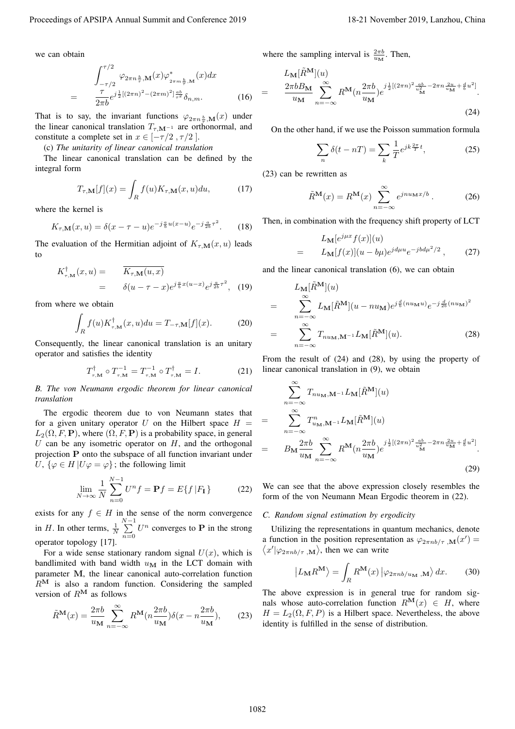$$
= \frac{\int_{-\tau/2}^{\tau/2} \varphi_{2\pi n \frac{b}{\tau}, \mathbf{M}}(x) \varphi_{2\pi m \frac{b}{\tau}, \mathbf{M}}^*(x) dx}{\frac{\tau}{2\pi b} e^{j \frac{1}{2}[(2\pi n)^2 - (2\pi m)^2] \frac{ab}{\tau^2}} \delta_{n,m}}.
$$
(16)

That is to say, the invariant functions  $\varphi_{2\pi n \frac{b}{\tau}, M}(x)$  under the linear canonical translation  $T_{\tau, \mathbf{M}^{-1}}$  are orthonormal, and constitute a complete set in  $x \in [-\tau/2, \tau/2]$ .

(c) *The unitarity of linear canonical translation*

The linear canonical translation can be defined by the integral form

$$
T_{\tau,\mathbf{M}}[f](x) = \int_{R} f(u) K_{\tau,\mathbf{M}}(x, u) du,
$$
 (17)

where the kernel is

$$
K_{\tau,\mathbf{M}}(x,u) = \delta(x-\tau-u)e^{-j\frac{a}{b}u(x-u)}e^{-j\frac{a}{2b}\tau^2}.
$$
 (18)

The evaluation of the Hermitian adjoint of  $K_{\tau,\mathbf{M}}(x, u)$  leads to

$$
K_{\tau,\mathbf{M}}^{\dagger}(x,u) = \overline{K_{\tau,\mathbf{M}}(u,x)}
$$
  
= 
$$
\delta(u-\tau-x)e^{j\frac{a}{b}x(u-x)}e^{j\frac{a}{2b}\tau^2}, \quad (19)
$$

from where we obtain

$$
\int_{R} f(u) K_{\tau,\mathbf{M}}^{\dagger}(x,u) du = T_{-\tau,\mathbf{M}}[f](x).
$$
 (20)

Consequently, the linear canonical translation is an unitary operator and satisfies the identity

$$
T_{\tau,\mathbf{M}}^{\dagger} \circ T_{\tau,\mathbf{M}}^{-1} = T_{\tau,\mathbf{M}}^{-1} \circ T_{\tau,\mathbf{M}}^{\dagger} = I.
$$
 (21)

*B. The von Neumann ergodic theorem for linear canonical translation*

The ergodic theorem due to von Neumann states that for a given unitary operator U on the Hilbert space  $H =$  $L_2(\Omega, F, \mathbf{P})$ , where  $(\Omega, F, \mathbf{P})$  is a probability space, in general *U* can be any isometric operator on *H*, and the orthogonal projection **P** onto the subspace of all function invariant under *U*,  $\{\varphi \in H | U \varphi = \varphi\}$ ; the following limit

$$
\lim_{N \to \infty} \frac{1}{N} \sum_{n=0}^{N-1} U^n f = \mathbf{P} f = E\{f | F_{\mathbf{I}}\}
$$
 (22)

exists for any  $f \in H$  in the sense of the norm convergence in *H*. In other terms,  $\frac{1}{N}$  $\sum_{n=0}^{N-1} U^n$  converges to **P** in the strong operator topology [17].

For a wide sense stationary random signal  $U(x)$ , which is bandlimited with band width  $u_M$  in the LCT domain with parameter **M**, the linear canonical auto-correlation function  $R^{<sup>M</sup>}$  is also a random function. Considering the sampled version of *R***<sup>M</sup>** as follows

$$
\tilde{R}^{\mathbf{M}}(x) = \frac{2\pi b}{u_{\mathbf{M}}} \sum_{n=-\infty}^{\infty} R^{\mathbf{M}}(n \frac{2\pi b}{u_{\mathbf{M}}}) \delta(x - n \frac{2\pi b}{u_{\mathbf{M}}}),
$$
(23)

where the sampling interval is  $\frac{2\pi b}{u_M}$ . Then,

$$
- \frac{L_{\mathbf{M}}[\tilde{R}^{\mathbf{M}}](u)}{u_{\mathbf{M}}} \sum_{n=-\infty}^{\infty} R^{\mathbf{M}}(n \frac{2\pi b}{u_{\mathbf{M}}}) e^{j\frac{1}{2}[(2\pi n)^{2} \frac{ab}{u_{\mathbf{M}}^{2}} - 2\pi n \frac{2u}{u_{\mathbf{M}}} + \frac{d}{b}u^{2}]}.
$$
\n(24)

On the other hand, if we use the Poisson summation formula

$$
\sum_{n} \delta(t - nT) = \sum_{k} \frac{1}{T} e^{jk\frac{2\pi}{T}t},
$$
\n(25)

(23) can be rewritten as

=

$$
\tilde{R}^{\mathbf{M}}(x) = R^{\mathbf{M}}(x) \sum_{n=-\infty}^{\infty} e^{j n u_{\mathbf{M}} x/b} . \tag{26}
$$

Then, in combination with the frequency shift property of LCT

$$
L_{\mathbf{M}}[e^{j\mu x} f(x)](u)
$$
  
=  $L_{\mathbf{M}}[f(x)](u - b\mu)e^{jd\mu u}e^{-jbd\mu^2/2}$ , (27)

and the linear canonical translation (6), we can obtain

$$
= \sum_{n=-\infty}^{\infty} L_{\mathbf{M}}[\tilde{R}^{\mathbf{M}}](u)
$$
  
= 
$$
\sum_{n=-\infty}^{\infty} L_{\mathbf{M}}[\tilde{R}^{\mathbf{M}}](u - nu_{\mathbf{M}})e^{j\frac{d}{b}(nu_{\mathbf{M}}u)}e^{-j\frac{d}{2b}(nu_{\mathbf{M}})^{2}}
$$
  
= 
$$
\sum_{n=-\infty}^{\infty} T_{nu_{\mathbf{M}},\mathbf{M}^{-1}}L_{\mathbf{M}}[\tilde{R}^{\mathbf{M}}](u).
$$
 (28)

From the result of (24) and (28), by using the property of linear canonical translation in (9), we obtain

Proceeding of APSIPA Amudi Ssumani and Confercave 2019  
\nwe can obtain  
\nwe can obtain  
\nwe can obtain  
\n
$$
\int_{-\frac{\pi}{2}}^{\pi/2} \frac{\nu_{2m+5}x_4(x)\nu_{2m+5}^*x_4(x)dx}{2\pi i_0\pi^2} = \frac{L_M(\tilde{R}^M)(u)}{2\pi i_0\pi^2} + \frac{L_M(\tilde{R}^M)(u)}{2\pi i_0\pi^2} = \frac{2\pi b^2 M_M}{6\pi} \sum_{k=1}^M \frac{\mu^2 (3\pi a)^2}{k^2} \frac{u^2}{k^2} e^{2\pi i_0\pi^2} \frac{u^2}{k^2} e^{2\pi i_0\pi^2} \frac{u^2}{k^2} e^{2\pi i_0\pi^2} \frac{u^2}{k^2} e^{2\pi i_0\pi^2} \frac{u^2}{k^2} e^{2\pi i_0\pi^2} \frac{u^2}{k^2} e^{2\pi i_0\pi^2} \frac{u^2}{k^2} e^{2\pi i_0\pi^2} \frac{u^2}{k^2} e^{2\pi i_0\pi^2} \frac{u^2}{k^2} e^{2\pi i_0\pi^2} \frac{u^2}{k^2} e^{2\pi i_0\pi^2} \frac{u^2}{k^2} e^{2\pi i_0\pi^2} \frac{u^2}{k^2} e^{2\pi i_0\pi^2} \frac{u^2}{k^2} e^{2\pi i_0\pi^2} \frac{u^2}{k^2} e^{2\pi i_0\pi^2} \frac{u^2}{k^2} e^{2\pi i_0\pi^2} \frac{u^2}{k^2} e^{2\pi i_0\pi^2} \frac{u^2}{k^2} e^{2\pi i_0\pi^2} \frac{u^2}{k^2} \frac{dx}{k^2} \frac{u^2}{k^2} \frac{u^2}{k^2} \frac{dx}{k^2} \frac{u^2}{k^2} \frac{u^2}{k^2} \frac{u^2}{k^2} \frac{u^2}{k^2} \frac{u^2}{k^2} \frac{u^2}{k^2} \frac{u^2}{k^2} \frac{u^2}{k^2} \frac{u^2}{k^2}
$$

We can see that the above expression closely resembles the form of the von Neumann Mean Ergodic theorem in (22).

## *C. Random signal estimation by ergodicity*

Utilizing the representations in quantum mechanics, denote a function in the position representation as  $\varphi_{2\pi nb/\tau}$ ,**M**(*x'*) =  $\langle x' | \varphi_{2\pi nb/\tau} \rangle$ , then we can write

$$
\left| L_{\mathbf{M}} R^{\mathbf{M}} \right\rangle = \int_{R} R^{\mathbf{M}}(x) \left| \varphi_{2\pi n b/u_{\mathbf{M}}} \right|, \mathbf{M} \rangle dx. \tag{30}
$$

The above expression is in general true for random signals whose auto-correlation function  $R^{M}(x) \in H$ , where  $H = L_2(\Omega, F, P)$  is a Hilbert space. Nevertheless, the above identity is fulfilled in the sense of distribution.

=